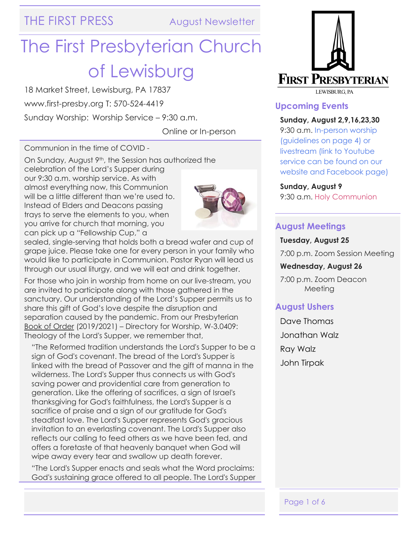THE FIRST PRESS August Newsletter

# The First Presbyterian Church of Lewisburg

18 Market Street, Lewisburg, PA 17837

www.first-presby.org T: 570-524-4419

Sunday Worship: Worship Service – 9:30 a.m.

Online or In-person

Communion in the time of COVID -

On Sunday, August 9th, the Session has authorized the celebration of the Lord's Supper during our 9:30 a.m. worship service. As with almost everything now, this Communion will be a little different than we're used to. Instead of Elders and Deacons passing trays to serve the elements to you, when you arrive for church that morning, you can pick up a "Fellowship Cup," a



sealed, single-serving that holds both a bread wafer and cup of grape juice. Please take one for every person in your family who would like to participate in Communion. Pastor Ryan will lead us through our usual liturgy, and we will eat and drink together.

For those who join in worship from home on our live-stream, you are invited to participate along with those gathered in the sanctuary. Our understanding of the Lord's Supper permits us to share this gift of God's love despite the disruption and separation caused by the pandemic. From our Presbyterian Book of Order (2019/2021) – Directory for Worship, W-3.0409: Theology of the Lord's Supper, we remember that,

"The Reformed tradition understands the Lord's Supper to be a sign of God's covenant. The bread of the Lord's Supper is linked with the bread of Passover and the gift of manna in the wilderness. The Lord's Supper thus connects us with God's saving power and providential care from generation to generation. Like the offering of sacrifices, a sign of Israel's thanksgiving for God's faithfulness, the Lord's Supper is a sacrifice of praise and a sign of our gratitude for God's steadfast love. The Lord's Supper represents God's gracious invitation to an everlasting covenant. The Lord's Supper also reflects our calling to feed others as we have been fed, and offers a foretaste of that heavenly banquet when God will wipe away every tear and swallow up death forever.

"The Lord's Supper enacts and seals what the Word proclaims: God's sustaining grace offered to all people. The Lord's Supper



#### **Upcoming Events**

#### **Sunday, August 2,9,16,23,30**

9:30 a.m. In-person worship (guidelines on page 4) or livestream (link to Youtube service can be found on our website and Facebook page)

#### **Sunday, August 9**

9:30 a.m. Holy Communion

#### **August Meetings**

#### **Tuesday, August 25**

7:00 p.m. Zoom Session Meeting

#### **Wednesday, August 26**

7:00 p.m. Zoom Deacon Meeting

#### **August Ushers**

Dave Thomas Jonathan Walz Ray Walz John Tirpak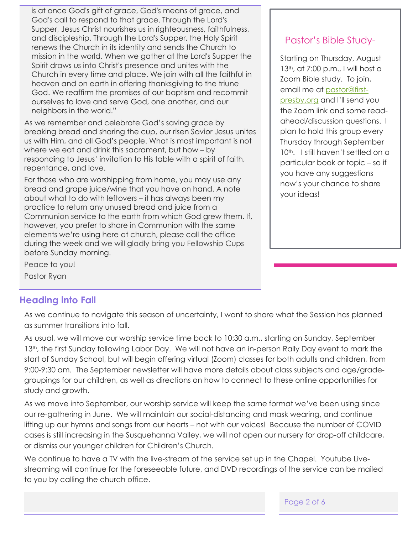is at once God's gift of grace, God's means of grace, and God's call to respond to that grace. Through the Lord's Supper, Jesus Christ nourishes us in righteousness, faithfulness, and discipleship. Through the Lord's Supper, the Holy Spirit renews the Church in its identity and sends the Church to mission in the world. When we gather at the Lord's Supper the Spirit draws us into Christ's presence and unites with the Church in every time and place. We join with all the faithful in heaven and on earth in offering thanksgiving to the triune God. We reaffirm the promises of our baptism and recommit ourselves to love and serve God, one another, and our neighbors in the world."

As we remember and celebrate God's saving grace by breaking bread and sharing the cup, our risen Savior Jesus unites us with Him, and all God's people. What is most important is not where we eat and drink this sacrament, but how – by responding to Jesus' invitation to His table with a spirit of faith, repentance, and love.

For those who are worshipping from home, you may use any bread and grape juice/wine that you have on hand. A note about what to do with leftovers – it has always been my practice to return any unused bread and juice from a Communion service to the earth from which God grew them. If, however, you prefer to share in Communion with the same elements we're using here at church, please call the office during the week and we will gladly bring you Fellowship Cups before Sunday morning.

Pastor's Bible Study-

Starting on Thursday, August 13th, at 7:00 p.m., I will host a Zoom Bible study. To join, email me at [pastor@first](mailto:pastor@first-presby.org)[presby.org](mailto:pastor@first-presby.org) and I'll send you the Zoom link and some readahead/discussion questions. I plan to hold this group every Thursday through September 10<sup>th</sup>. I still haven't settled on a particular book or topic – so if you have any suggestions now's your chance to share your ideas!

Peace to you!

#### Pastor Ryan

#### **Heading into Fall**

As we continue to navigate this season of uncertainty, I want to share what the Session has planned as summer transitions into fall.

As usual, we will move our worship service time back to 10:30 a.m., starting on Sunday, September 13<sup>th</sup>, the first Sunday following Labor Day. We will not have an in-person Rally Day event to mark the start of Sunday School, but will begin offering virtual (Zoom) classes for both adults and children, from 9:00-9:30 am. The September newsletter will have more details about class subjects and age/gradegroupings for our children, as well as directions on how to connect to these online opportunities for study and growth.

As we move into September, our worship service will keep the same format we've been using since our re-gathering in June. We will maintain our social-distancing and mask wearing, and continue lifting up our hymns and songs from our hearts – not with our voices! Because the number of COVID cases is still increasing in the Susquehanna Valley, we will not open our nursery for drop-off childcare, or dismiss our younger children for Children's Church.

We continue to have a TV with the live-stream of the service set up in the Chapel. Youtube Livestreaming will continue for the foreseeable future, and DVD recordings of the service can be mailed to you by calling the church office.

Page 2 of 6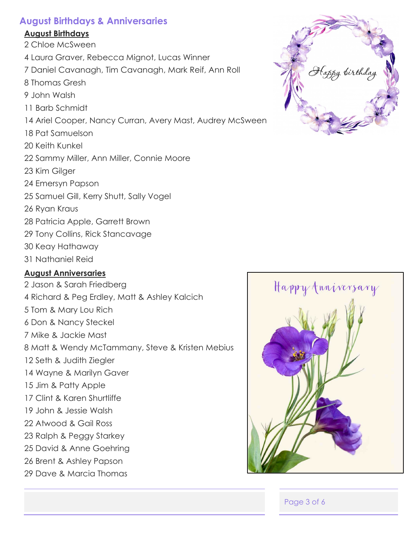### **August Birthdays & Anniversaries**

#### **August Birthdays**

- 2 Chloe McSween
- 4 Laura Graver, Rebecca Mignot, Lucas Winner
- 7 Daniel Cavanagh, Tim Cavanagh, Mark Reif, Ann Roll
- 8 Thomas Gresh
- 9 John Walsh
- 11 Barb Schmidt
- 14 Ariel Cooper, Nancy Curran, Avery Mast, Audrey McSween
- 18 Pat Samuelson
- 20 Keith Kunkel
- 22 Sammy Miller, Ann Miller, Connie Moore
- 23 Kim Gilger
- 24 Emersyn Papson
- 25 Samuel Gill, Kerry Shutt, Sally Vogel
- 26 Ryan Kraus
- 28 Patricia Apple, Garrett Brown
- 29 Tony Collins, Rick Stancavage
- 30 Keay Hathaway
- 31 Nathaniel Reid

## **August Anniversaries**

- 2 Jason & Sarah Friedberg 4 Richard & Peg Erdley, Matt & Ashley Kalcich 5 Tom & Mary Lou Rich 6 Don & Nancy Steckel 7 Mike & Jackie Mast 8 Matt & Wendy McTammany, Steve & Kristen Mebius 12 Seth & Judith Ziegler 14 Wayne & Marilyn Gaver 15 Jim & Patty Apple 17 Clint & Karen Shurtliffe 19 John & Jessie Walsh 22 Atwood & Gail Ross 23 Ralph & Peggy Starkey
- 25 David & Anne Goehring
- 26 Brent & Ashley Papson
- 29 Dave & Marcia Thomas





Page 3 of 6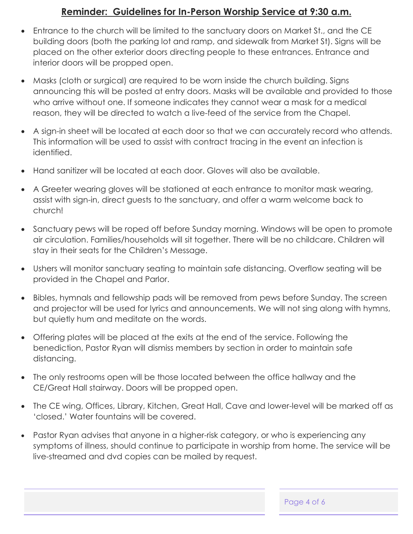## **Reminder: Guidelines for In-Person Worship Service at 9:30 a.m.**

- Entrance to the church will be limited to the sanctuary doors on Market St., and the CE building doors (both the parking lot and ramp, and sidewalk from Market St). Signs will be placed on the other exterior doors directing people to these entrances. Entrance and interior doors will be propped open.
- Masks (cloth or surgical) are required to be worn inside the church building. Signs announcing this will be posted at entry doors. Masks will be available and provided to those who arrive without one. If someone indicates they cannot wear a mask for a medical reason, they will be directed to watch a live-feed of the service from the Chapel.
- A sign-in sheet will be located at each door so that we can accurately record who attends. This information will be used to assist with contract tracing in the event an infection is identified.
- Hand sanitizer will be located at each door. Gloves will also be available.
- A Greeter wearing gloves will be stationed at each entrance to monitor mask wearing, assist with sign-in, direct guests to the sanctuary, and offer a warm welcome back to church!
- Sanctuary pews will be roped off before Sunday morning. Windows will be open to promote air circulation. Families/households will sit together. There will be no childcare. Children will stay in their seats for the Children's Message.
- Ushers will monitor sanctuary seating to maintain safe distancing. Overflow seating will be provided in the Chapel and Parlor.
- Bibles, hymnals and fellowship pads will be removed from pews before Sunday. The screen and projector will be used for lyrics and announcements. We will not sing along with hymns, but quietly hum and meditate on the words.
- Offering plates will be placed at the exits at the end of the service. Following the benediction, Pastor Ryan will dismiss members by section in order to maintain safe distancing.
- The only restrooms open will be those located between the office hallway and the CE/Great Hall stairway. Doors will be propped open.
- The CE wing, Offices, Library, Kitchen, Great Hall, Cave and lower-level will be marked off as 'closed.' Water fountains will be covered.
- Pastor Ryan advises that anyone in a higher-risk category, or who is experiencing any symptoms of illness, should continue to participate in worship from home. The service will be live-streamed and dvd copies can be mailed by request.

Page 4 of 6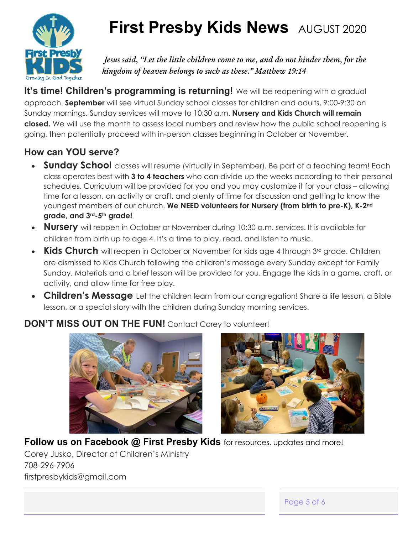

## **First Presby Kids News** AUGUST 2020

*Jesus said, "Let the little children come to me, and do not hinder them, for the kingdom of heaven belongs to such as these." Matthew 19:14*

**It's time! Children's programming is returning!** We will be reopening with a gradual approach. **September** will see virtual Sunday school classes for children and adults, 9:00-9:30 on Sunday mornings. Sunday services will move to 10:30 a.m. **Nursery and Kids Church will remain closed.** We will use the month to assess local numbers and review how the public school reopening is going, then potentially proceed with in-person classes beginning in October or November.

## **How can YOU serve?**

- **Sunday School** classes will resume (virtually in September). Be part of a teaching team! Each class operates best with **3 to 4 teachers** who can divide up the weeks according to their personal schedules. Curriculum will be provided for you and you may customize it for your class – allowing time for a lesson, an activity or craft, and plenty of time for discussion and getting to know the youngest members of our church. **We NEED volunteers for Nursery (from birth to pre-K), K-2nd grade, and 3rd-5th grade!**
- **Nursery** will reopen in October or November during 10:30 a.m. services. It is available for children from birth up to age 4. It's a time to play, read, and listen to music.
- **Kids Church** will reopen in October or November for kids age 4 through 3<sup>rd</sup> grade. Children are dismissed to Kids Church following the children's message every Sunday except for Family Sunday. Materials and a brief lesson will be provided for you. Engage the kids in a game, craft, or activity, and allow time for free play.
- **Children's Message** Let the children learn from our congregation! Share a life lesson, a Bible lesson, or a special story with the children during Sunday morning services.

## **DON'T MISS OUT ON THE FUN!** Contact Corey to volunteer!



## **Follow us on Facebook @ First Presby Kids** for resources, updates and more!

Corey Jusko, Director of Children's Ministry 708-296-7906 firstpresbykids@gmail.com

Page 5 of 6